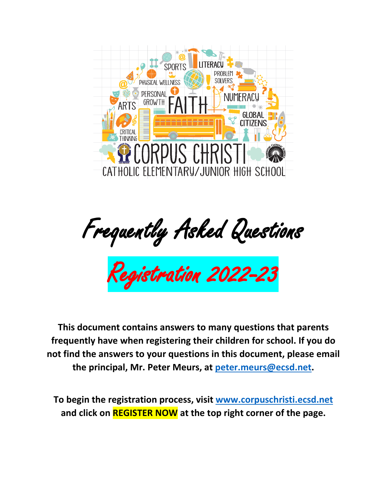

Frequently Asked Questions

Registration 2022-23

**This document contains answers to many questions that parents frequently have when registering their children for school. If you do not find the answers to your questions in this document, please email the principal, Mr. Peter Meurs, at [peter.meurs@ecsd.net.](mailto:peter.meurs@ecsd.net)**

**To begin the registration process, visit [www.corpuschristi.ecsd.net](http://www.corpuschristi.ecsd.net/) and click on REGISTER NOW at the top right corner of the page.**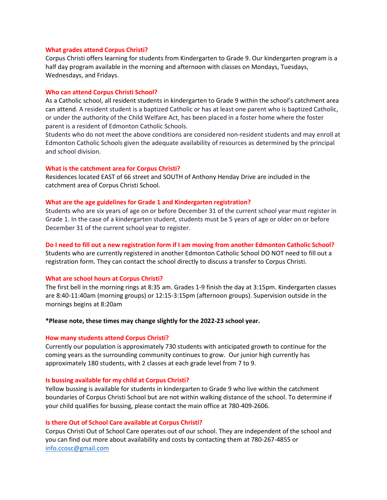#### **What grades attend Corpus Christi?**

Corpus Christi offers learning for students from Kindergarten to Grade 9. Our kindergarten program is a half day program available in the morning and afternoon with classes on Mondays, Tuesdays, Wednesdays, and Fridays.

#### **Who can attend Corpus Christi School?**

As a Catholic school, all resident students in kindergarten to Grade 9 within the school's catchment area can attend. A resident student is a baptized Catholic or has at least one parent who is baptized Catholic, or under the authority of the Child Welfare Act, has been placed in a foster home where the foster parent is a resident of Edmonton Catholic Schools.

Students who do not meet the above conditions are considered non-resident students and may enroll at Edmonton Catholic Schools given the adequate availability of resources as determined by the principal and school division.

#### **What is the catchment area for Corpus Christi?**

Residences located EAST of 66 street and SOUTH of Anthony Henday Drive are included in the catchment area of Corpus Christi School.

# **What are the age guidelines for Grade 1 and Kindergarten registration?**

Students who are six years of age on or before December 31 of the current school year must register in Grade 1. In the case of a kindergarten student, students must be 5 years of age or older on or before December 31 of the current school year to register.

#### **Do I need to fill out a new registration form if I am moving from another Edmonton Catholic School?**

Students who are currently registered in another Edmonton Catholic School DO NOT need to fill out a registration form. They can contact the school directly to discuss a transfer to Corpus Christi.

## **What are school hours at Corpus Christi?**

The first bell in the morning rings at 8:35 am. Grades 1-9 finish the day at 3:15pm. Kindergarten classes are 8:40-11:40am (morning groups) or 12:15-3:15pm (afternoon groups). Supervision outside in the mornings begins at 8:20am

#### **\*Please note, these times may change slightly for the 2022-23 school year.**

## **How many students attend Corpus Christi?**

Currently our population is approximately 730 students with anticipated growth to continue for the coming years as the surrounding community continues to grow. Our junior high currently has approximately 180 students, with 2 classes at each grade level from 7 to 9.

#### **Is bussing available for my child at Corpus Christi?**

Yellow bussing is available for students in kindergarten to Grade 9 who live within the catchment boundaries of Corpus Christi School but are not within walking distance of the school. To determine if your child qualifies for bussing, please contact the main office at 780-409-2606.

#### **Is there Out of School Care available at Corpus Christi?**

Corpus Christi Out of School Care operates out of our school. They are independent of the school and you can find out more about availability and costs by contacting them at 780-267-4855 or [info.ccosc@gmail.com](mailto:info.ccosc@gmail.com)